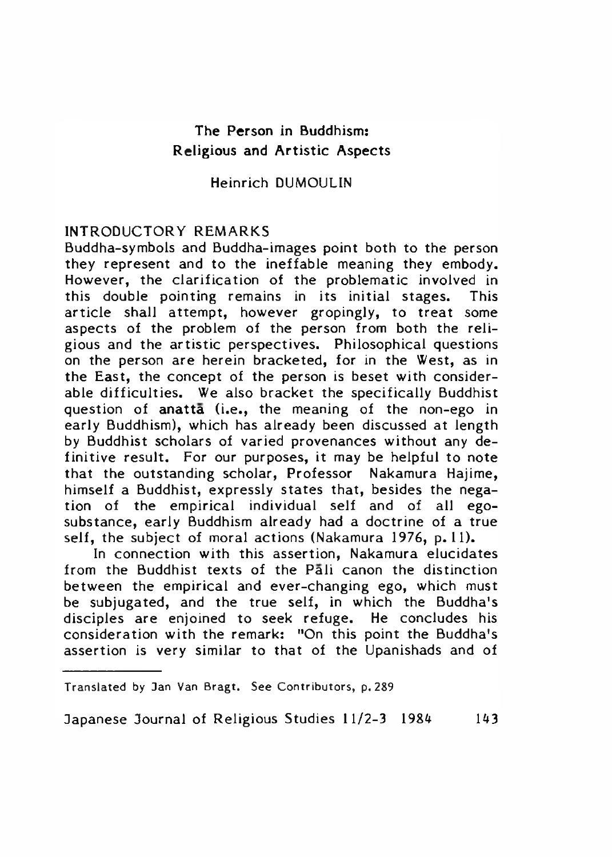# The Person in Buddhism: Religious and Artistic Aspects

Heinrich DUMOULIN

### INTRODUCTORY REMARKS

Buddha-symbols and Buddha-images point both to the person they represent and to the ineffable meaning they embody. However, the clarification of the problematic involved in this double pointing remains in its initial stages. This article shall attempt, however gropingly, to treat some aspects of the problem of the person from both the religious and the artistic perspectives. Philosophical questions on the person are herein bracketed, for in the West, as in the East, the concept of the person is beset with considerable difficulties. We also bracket the specifically Buddhist question of anatta (i.e., the meaning of the non-ego in early Buddhism), which has already been discussed at length by Buddhist scholars of varied provenances without any definitive result. For our purposes, it may be helpful to note that the outstanding scholar, Professor Nakamura Hajime, himself a Buddhist, expressly states that, besides the negation of the empirical individual self and of all egosubstance, early Buddhism already had a doctrine of a true self. the subject of moral actions (Nakamura 1976, p.11).

In connection with this assertion, Nakamura elucidates from the Buddhist texts of the Pali canon the distinction between the empirical and ever-changing ego, which must be subjugated, and the true self, in which the Buddha's disciples are enjoined to seek refuge. He concludes his consideration with the remark: "On this point the Buddha's assertion is very similar to that of the Upanishads and of

Translated by 3an Van Bragt. See Contributors, p. 289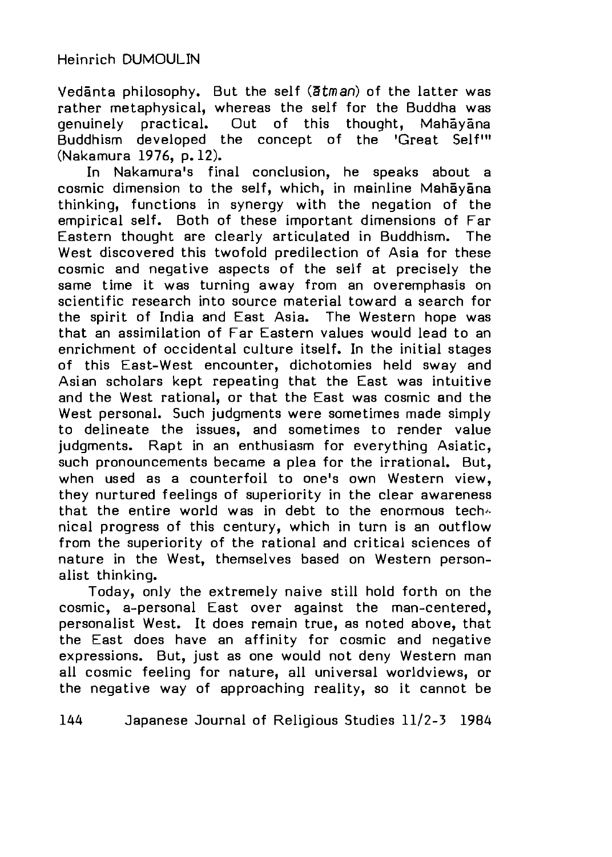Vedanta philosophy. But the self (atman) of the latter was rather metaphysical, whereas the self for the Buddha was genuinely practical. Out of this thought, Mahayana Buddhism developed the concept of the 'Great Self'" (Nakamura 1976, p. 12).

In Nakamura's final conclusion, he speaks about a cosmic dimension to the self, which, in mainline Mahayana thinking, functions in synergy with the negation of the empirical self. Both of these important dimensions of Far Eastern thought are clearly articulated in Buddhism. The West discovered this twofold predilection of Asia for these cosmic and negative aspects of the self at precisely the same time it was turning away from an overemphasis on scientific research into source material toward a search for the spirit of India and East Asia. The Western hope was that an assimilation of Far Eastern values would lead to an enrichment of occidental culture itself. In the initial stages of this East-West encounter, dichotomies held sway and Asian scholars kept repeating that the East was intuitive and the West rational, or that the East was cosmic and the West personal. Such judgments were sometimes made simply to delineate the issues, and sometimes to render value judgments. Rapt in an enthusiasm for everything Asiatic, such pronouncements became a plea for the irrational. But, when used as a counterfoil to one's own Western view, they nurtured feelings of superiority in the clear awareness that the entire world was in debt to the enormous tech $\sim$ nical progress of this century, which in turn is an outflow from the superiority of the rational and critical sciences of nature in the West, themselves based on Western personalist thinking.

Today, only the extremely naive still hold forth on the cosmic, a-personal East over against the man-centered, personalist West. It does remain true, as noted above, that the East does have an affinity for cosmic and negative expressions. But, just as one would not deny Western man all cosmic feeling for nature, all universal worldviews, or the negative way of approaching reality, so it cannot be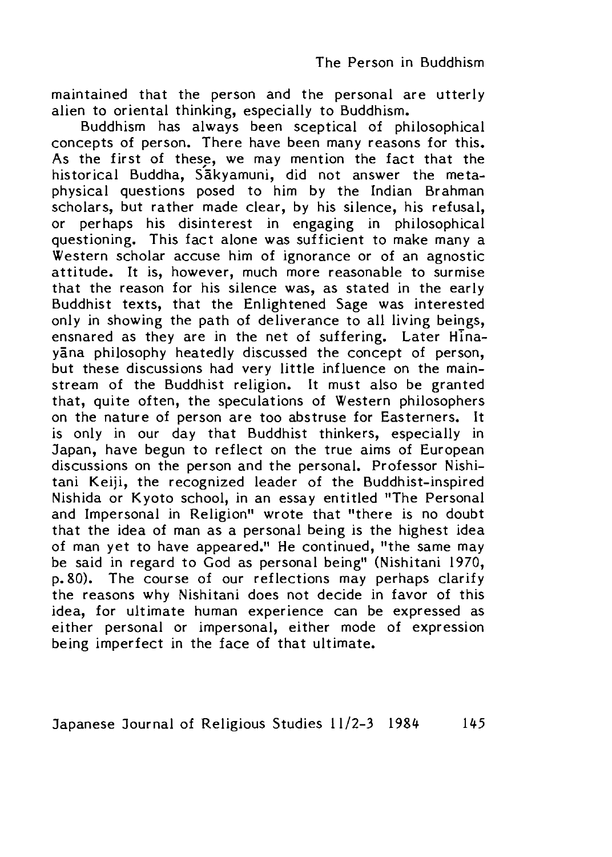maintained that the person and the personal are utterly alien to oriental thinking, especially to Buddhism,

Buddhism has always been sceptical of philosophical concepts of person. There have been many reasons for this. As the first of these, we may mention the fact that the historical Buddha, Sakyamuni, did not answer the metaphysical questions posed to him by the Indian Brahman scholars, but rather made clear, by his silence, his refusal, or perhaps his disinterest in engaging in philosophical questioning. This fact alone was sufficient to make many a Western scholar accuse him of ignorance or of an agnostic attitude. It is, however, much more reasonable to surmise that the reason for his silence was, as stated in the early Buddhist texts, that the Enlightened Sage was interested only in showing the path of deliverance to all living beings, ensnared as they are in the net of suffering. Later Hinayana philosophy heatedly discussed the concept of person, but these discussions had very little influence on the mainstream of the Buddhist religion. It must also be granted that, quite often, the speculations of Western philosophers on the nature of person are too abstruse for Easterners. It is only in our day that Buddhist thinkers, especially in 3apan, have begun to reflect on the true aims of European discussions on the person and the personal. Professor Nishitani Keiji, the recognized leader of the Buddhist-inspired Nishida or Kyoto school, in an essay entitled "The Personal and Impersonal in Religion" wrote that "there is no doubt that the idea of man as a personal being is the highest idea of man yet to have appeared." He continued, "the same may be said in regard to God as personal being" (Nishitani 1970, p. 80). The course of our reflections may perhaps clarify the reasons why Nishitani does not decide in favor of this idea, for ultimate human experience can be expressed as either personal or impersonal, either mode of expression being imperfect in the face of that ultimate.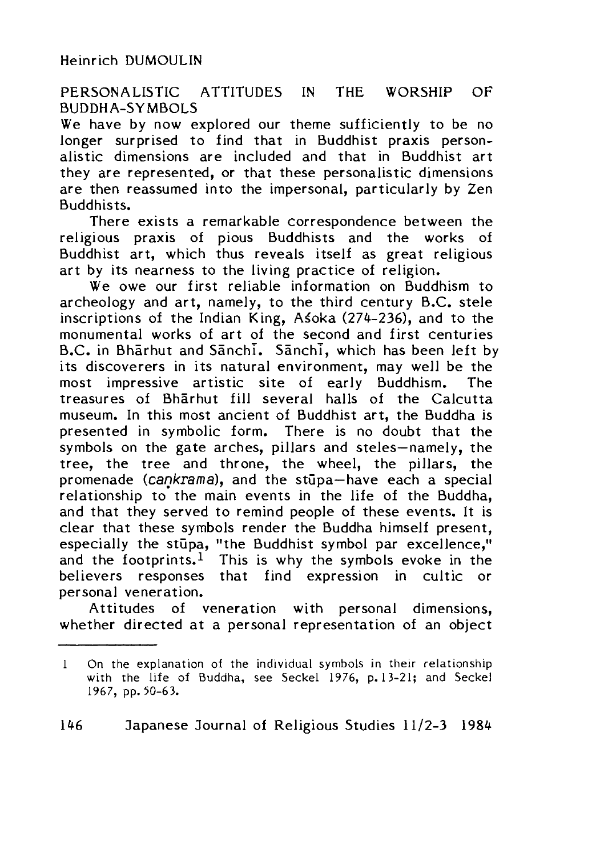## PERSONALISTIC ATTITUDES IN THE WORSHIP OF BUDDHA-SYMBOLS

We have by now explored our theme sufficiently to be no longer surprised to find that in Buddhist praxis personalistic dimensions are included and that in Buddhist art they are represented, or that these personalistic dimensions are then reassumed into the impersonal, particularly by Zen Buddhists.

There exists a remarkable correspondence between the religious praxis of pious Buddhists and the works of Buddhist art, which thus reveals itself as great religious art by its nearness to the living practice of religion.

We owe our first reliable information on Buddhism to archeology and art, namely, to the third century B.C. stele inscriptions of the Indian King, Asoka  $(274-236)$ , and to the monumental works of art of the second and first centuries B.C. in Bharhut and Sanchi. Sanchi, which has been left by its discoverers in its natural environment, may well be the most impressive artistic site of early Buddhism. The treasures of Bharhut fill several halls of the Calcutta museum. In this most ancient of Buddhist art, the Buddha is presented in symbolic form. There is no doubt that the symbols on the gate arches, pillars and steles—namely, the tree, the tree and throne, the wheel, the pillars, the promenade (cankrama), and the stupa—have each a special relationship to the main events in the life of the Buddha, and that they served to remind people of these events. It is clear that these symbols render the Buddha himself present, especially the stupa, "the Buddhist symbol par excellence." and the footprints.<sup>1</sup> This is why the symbols evoke in the believers responses that find expression in cultic or personal veneration.

Attitudes of veneration with personal dimensions, whether directed at a personal representation of an object

<sup>1</sup> On the explanation of the individual symbols in their relationship with the life of Buddha, see Seckel 1976, p. 13-21; and Seckel 1967, pp. 50-63.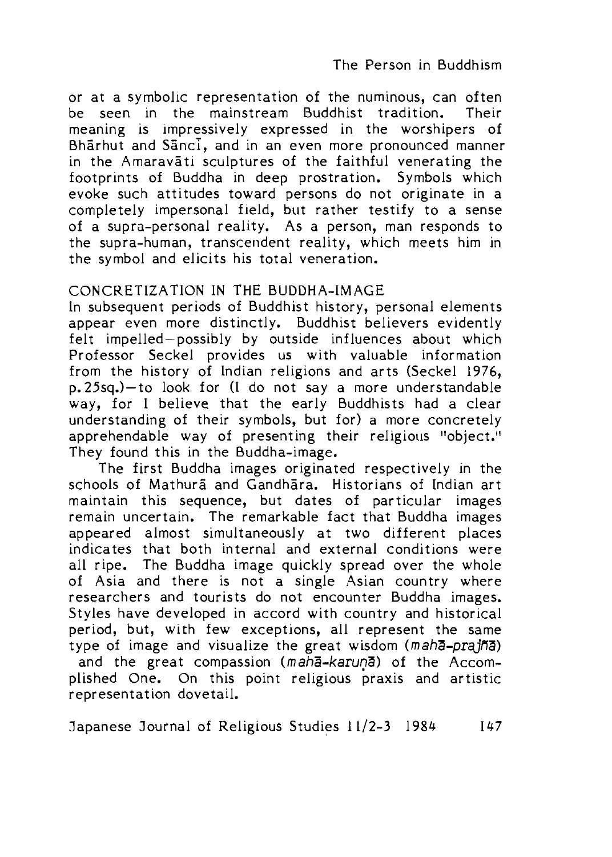or at a symbolic representation of the numinous, can often be seen in the mainstream Buddhist tradition. Their meaning is impressively expressed in the worshipers of Bharhut and Sanci, and in an even more pronounced manner in the Amaravati sculptures of the faithful venerating the footprints of Buddha in deep prostration. Symbols which evoke such attitudes toward persons do not originate in a completely impersonal field, but rather testify to a sense of a supra-personal reality. As a person, man responds to the supra-human, transcendent reality, which meets him in the symbol and elicits his total veneration.

## CONCRETIZATION IN THE BUDDHA-IMAGE

In subsequent periods of Buddhist history, personal elements appear even more distinctly. Buddhist believers evidently felt impelled-possibly by outside influences about which Professor Seckel provides us with valuable information from the history of Indian religions and arts (Seckel 1976, p. 25sq.)—to look for (I do not say a more understandable way, for I believe that the early Buddhists had a clear understanding of their symbols, but for) a more concretely apprehendable way of presenting their religious "object." They found this in the Buddha-image.

The first Buddha images originated respectively in the schools of Mathura and Gandhara. Historians of Indian art maintain this sequence, but dates of particular images remain uncertain. The remarkable fact that Buddha images appeared almost simultaneously at two different places indicates that both internal and external conditions were all ripe. The Buddha image quickly spread over the whole of Asia and there is not a single Asian country where researchers and tourists do not encounter Buddha images. Styles have developed in accord with country and historical period, but, with few exceptions, all represent the same type of image and visualize the great wisdom (maha-prajna) and the great compassion *(maha-karun^)* of the Accomplished One. On this point religious praxis and artistic representation dovetail.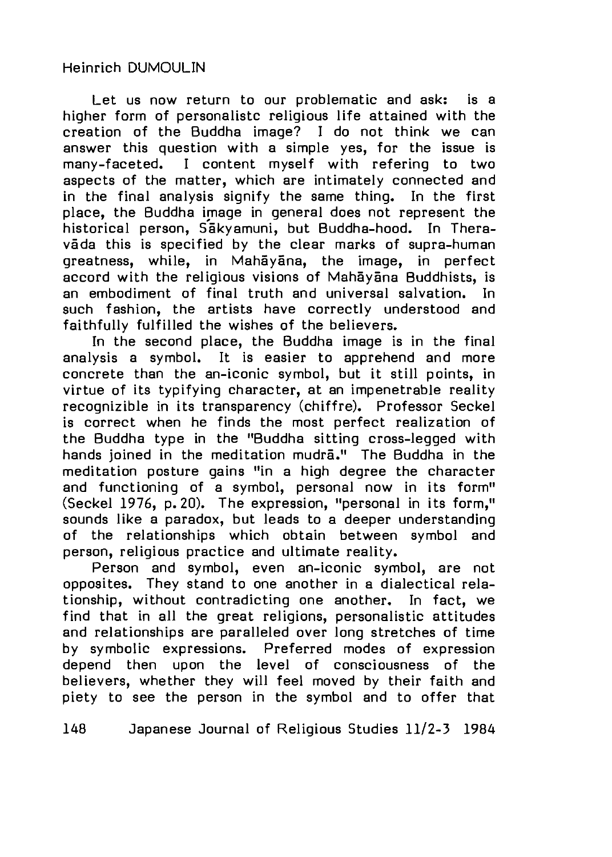### Heinrich DUMOULIN

Let us now return to our problematic and ask: is a higher form of personalistc religious life attained with the creation of the Buddha image? I do not think we can answer this question with a simple yes, for the issue is many-faceted. I content myself with refering to two aspects of the matter, which are intimately connected and in the final analysis signify the same thing. In the first place, the Buddha image in general does not represent the historical person, Sakyamuni, but Buddha-hood. In Theravada this is specified by the clear marks of supra-human greatness, while, in Mahavana, the image, in perfect accord with the religious visions of Mahayana Buddhists, is an embodiment of final truth and universal salvation. In such fashion, the artists have correctly understood and faithfully fulfilled the wishes of the believers.

In the second place, the Buddha image is in the final analysis a symbol. It is easier to apprehend and more concrete than the an-iconic symbol, but it still points, in virtue of its typifying character, at an impenetrable reality recognizible in its transparency (chiffre). Professor Seckel is correct when he finds the most perfect realization of the Buddha type in the "Buddha sitting cross-legged with hands joined in the meditation mudra." The Buddha in the meditation posture gains "in a high degree the character and functioning of a symbol, personal now in its form" (Seckel 1976, p. 20). The expression, "personal in its form," sounds like a paradox, but leads to a deeper understanding of the relationships which obtain between symbol and person, religious practice and ultimate reality.

Person and symbol, even an-iconic symbol, are not opposites. They stand to one another in a dialectical relationship, without contradicting one another. In fact, we find that in all the great religions, personalistic attitudes and relationships are paralleled over long stretches of time by symbolic expressions. Preferred modes of expression depend then upon the level of consciousness of the believers, whether they will feel moved by their faith and piety to see the person in the symbol and to offer that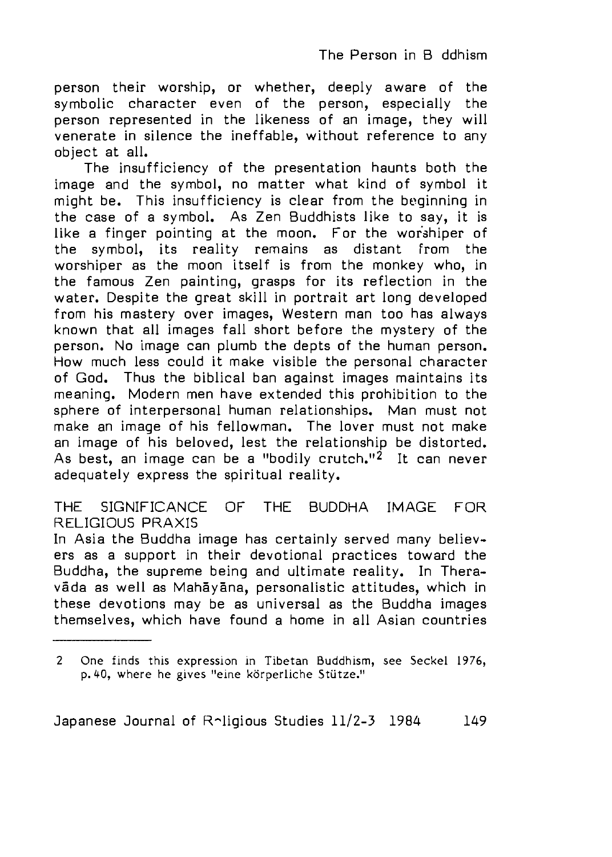person their worship, or whether, deeply aware of the symbolic character even of the person, especially the person represented in the likeness of an image, they will venerate in silence the ineffable, without reference to any object at all.

The insufficiency of the presentation haunts both the image and the symbol, no matter what kind of symbol it might be. This insufficiency is clear from the beginning in the case of a symbol. As Zen Buddhists like to say, it is like a finger pointing at the moon, For the worshiper of the symbol, its reality remains as distant from the worshiper as the moon itself is from the monkey who, in the famous Zen painting, grasps for its reflection in the water. Despite the great skill in portrait art long developed from his mastery over images, Western man too has always known that all images fall short before the mystery of the person. No image can plumb the depts of the human person. How much less could it make visible the personal character of God. Thus the biblical ban against images maintains its meaning. Modern men have extended this prohibition to the sphere of interpersonal human relationships. Man must not make an image of his fellowman. The lover must not make an image of his beloved, lest the relationship be distorted. As best, an image can be a "bodily crutch."<sup>2</sup> It can never adequately express the spiritual reality.

THE SIGNIFICANCE OF THE BUDDHA IMAGE FOR RELIGIOUS PRAXIS

In Asia the Buddha image has certainly served many believers as a support in their devotional practices toward the Buddha, the supreme being and ultimate reality. In Theravāda as well as Mahāyāna, personalistic attitudes, which in these devotions may be as universal as the Buddha images themselves, which have found a home in all Asian countries

<sup>2</sup> One finds this expression in Tibetan Buddhism, see Seckel 1976, p. 40, where he gives "eine körperliche Stütze."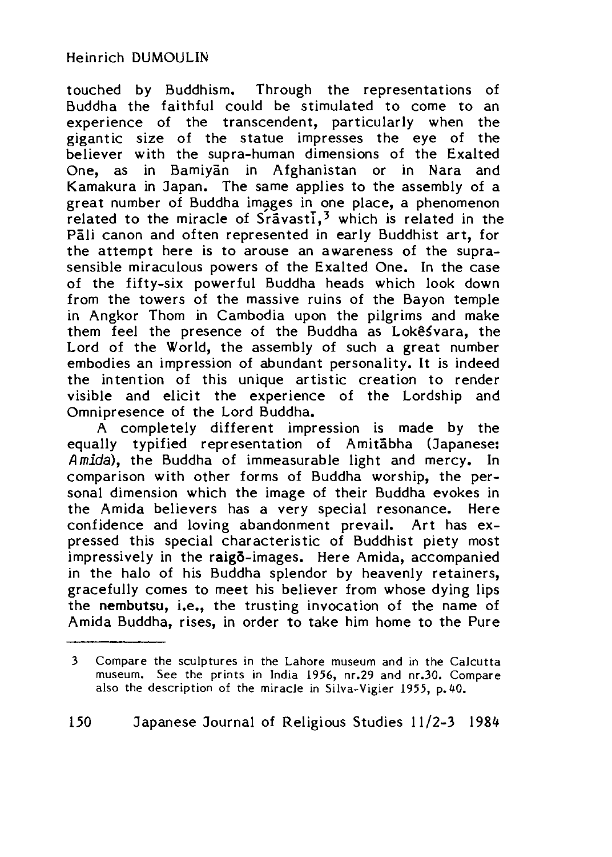## Heinrich DUMOULIN

touched by Buddhism. Through the representations of Buddha the faithful could be stimulated to come to an experience of the transcendent, particularly when the gigantic size of the statue impresses the eye of the believer with the supra-human dimensions of the Exalted One, as in Bamivan in Afghanistan or in Nara and Kamakura in Japan. The same applies to the assembly of a great number of Buddha images in one place, a phenomenon related to the miracle of  $S_{\text{r}}$  avast $\overline{I}$ , which is related in the Pali canon and often represented in early Buddhist art, for the attempt here is to arouse an awareness of the suprasensible miraculous powers of the Exalted One, In the case of the fifty-six powerful Buddha heads which look down from the towers of the massive ruins of the Bayon temple in Angkor Thom in Cambodia upon the pilgrims and make them feel the presence of the Buddha as Lokêsvara, the Lord of the World, the assembly of such a great number embodies an impression of abundant personality. It is indeed the intention of this unique artistic creation to render visible and elicit the experience of the Lordship and Omnipresence of the Lord Buddha.

A completely different impression is made by the equally typified representation of Amitabha (Japanese: Amida), the Buddha of immeasurable light and mercy. In comparison with other forms of Buddha worship, the personal dimension which the image of their Buddha evokes in the Amida believers has a very special resonance. Here confidence and loving abandonment prevail. Art has expressed this special characteristic of Buddhist piety most impressively in the raigo-images. Here Amida, accompanied in the halo of his Buddha splendor by heavenly retainers, gracefully comes to meet his believer from whose dying lips the nembutsu, i.e., the trusting invocation of the name of Amida Buddha, rises, in order to take him home to the Pure

<sup>3</sup> Compare the sculptures in the Lahore museum and in the Calcutta museum. See the prints in India 1956, nr.29 and nr.30. Compare also the description of the miracle in Silva-Vigier 1955 p. 40.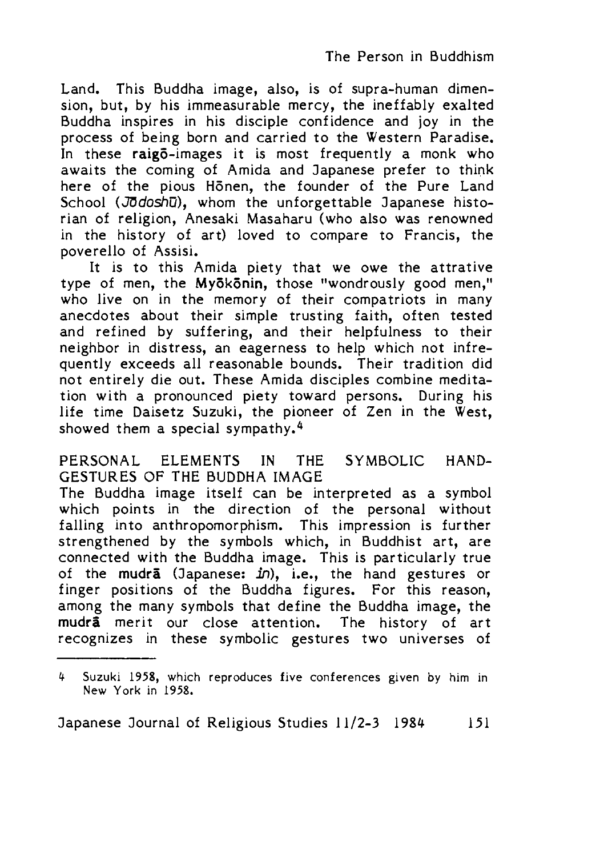Land. This Buddha image, also, is of supra-human dimension, but, by his immeasurable mercy, the ineffably exalted Buddha inspires in his disciple confidence and joy in the process of being born and carried to the Western Paradise. In these raig5-images it is most frequently a monk who awaits the coming of Amida and Japanese prefer to think here of the pious Honen, the founder of the Pure Land School (Jodoshū), whom the unforgettable Japanese historian of religion, Anesaki Masaharu (who also was renowned in the history of art) loved to compare to Francis, the poverello of Assisi.

It is to this Amida piety that we owe the attrative type of men, the Myōkōnin, those "wondrously good men," who live on in the memory of their compatriots in many anecdotes about their simple trusting faith, often tested and refined by suffering, and their helpfulness to their neighbor in distress, an eagerness to help which not infrequently exceeds all reasonable bounds. Their tradition did not entirely die out. These Amida disciples combine meditation with a pronounced piety toward persons. During his life time Daisetz Suzuki, the pioneer of Zen in the West, showed them a special sympathy.<sup>4</sup>

PERSONAL ELEMENTS IN THE SYMBOLIC HAND-GESTURES OF THE BUDDHA IMAGE

The Buddha image itself can be interpreted as a symbol which points in the direction of the personal without falling into anthropomorphism. This impression is further strengthened by the symbols which, in Buddhist art, are connected with the Buddha image. This is particularly true of the mudra (Japanese:  $in$ ), i.e., the hand gestures or finger positions of the Buddha figures. For this reason, among the many symbols that define the Buddha image, the mudra merit our close attention. The history of art recognizes in these symbolic gestures two universes of

Suzuki 1958, which reproduces five conferences given by him in New York in 1958.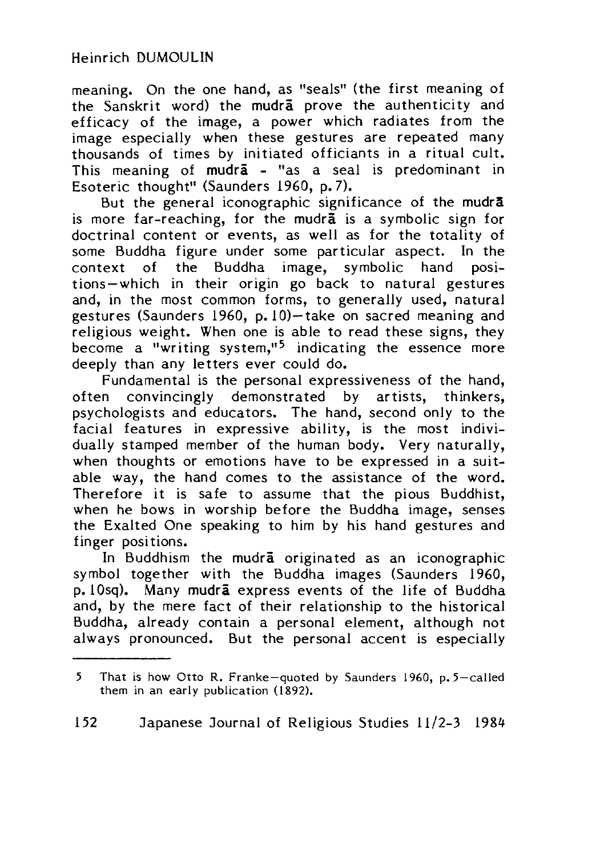meaning. On the one hand, as "seals" (the first meaning of the Sanskrit word) the mudra prove the authenticity and efficacy of the image, a power which radiates from the image especially when these gestures are repeated many thousands of times by initiated officiants in a ritual cult. This meaning of mudra - "as a seal is predominant in Esoteric thought" (Saunders 1960, p. 7).

But the general iconographic significance of the mudr $\bar{a}$ is more far-reaching, for the mudra is a symbolic sign for doctrinal content or events, as well as for the totality of some Buddha figure under some particular aspect. In the context of the Buddha image, symbolic hand positions—which in their origin go back to natural gestures and, in the most common forms, to generally used, natural gestures (Saunders 1960, p. 10) $-$ take on sacred meaning and religious weight. When one is able to read these signs, they become a "writing system,"<sup>5</sup> indicating the essence more deeply than any letters ever could do.

Fundamental is the personal expressiveness of the hand, often convincingly demonstrated by artists, thinkers, psychologists and educators. The hand, second only to the facial features in expressive ability, is the most individually stamped member of the human body. Very naturally, when thoughts or emotions have to be expressed in a suitable way, the hand comes to the assistance of the word. Therefore it is safe to assume that the pious Buddhist, when he bows in worship before the Buddha image, senses the Exalted One speaking to him by his hand gestures and finger positions.

In Buddhism the mudra originated as an iconographic symbol together with the Buddha images (Saunders 1960, p. 10sq). Many mudra express events of the life of Buddha and, by the mere fact of their relationship to the historical Buddha, already contain a personal element, although not always pronounced. But the personal accent is especially

 $5<sup>1</sup>$ That is how Otto R. Franke-quoted by Saunders 1960, p.  $5 -$ called them in an early publication (1892).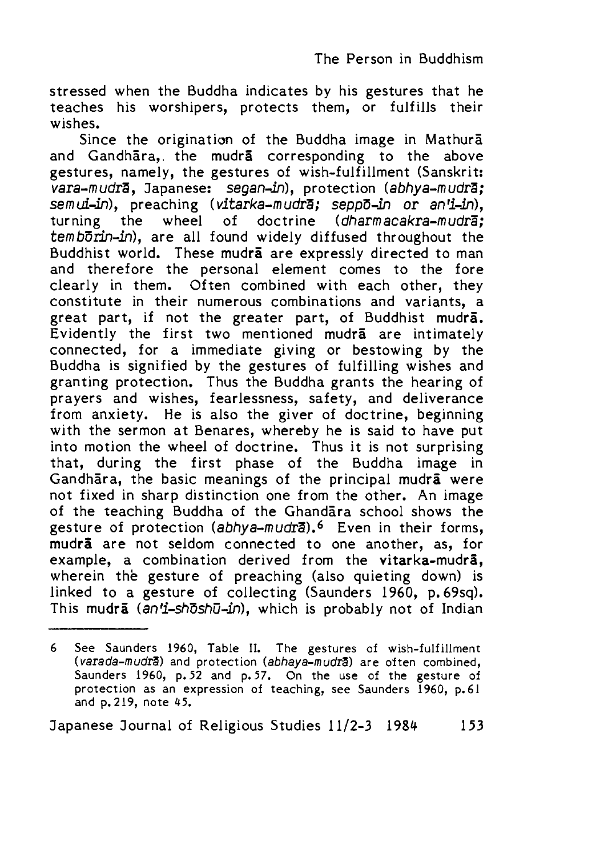stressed when the Buddha indicates by his gestures that he teaches his worshipers, protects them, or fulfills their wishes.

Since the origination of the Buddha image in Mathura and Gandhara,. the mudra corresponding to the above gestures, namely, the gestures of wish-fulfillment (Sanskrit: vara-mudrā, Japanese: segan-in), protection *(abhya-mudrā;* semui-in), preaching (vitarka-mudra; seppo-in or an'i-in), turning the wheel of doctrine (dharmacakra-mudra;  $temb\overrightarrow{or}$ in-in), are all found widely diffused throughout the Buddhist world. These mudra are expressly directed to man and therefore the personal element comes to the fore clearly in them. Often combined with each other, they constitute in their numerous combinations and variants, a great part, if not the greater part, of Buddhist mudra. Evidently the first two mentioned mudra are intimately connected, for a immediate giving or bestowing by the Buddha is signified by the gestures of fulfilling wishes and granting protection. Thus the Buddha grants the hearing of prayers and wishes, fearlessness, safety, and deliverance from anxiety. He is also the giver of doctrine, beginning with the sermon at Benares, whereby he is said to have put into motion the wheel of doctrine. Thus it is not surprising that, during the first phase of the Buddha image in Gandhara, the basic meanings of the principal mudra were not fixed in sharp distinction one from the other. An image of the teaching Buddha of the Ghandara school shows the gesture of protection *(abhya-wudrS).6* Even in their forms, mudra are not seldom connected to one another, as, for example, a combination derived from the vitarka-mudra, wherein the gesture of preaching (also quieting down) is linked to a gesture of collecting (Saunders 1960, p. 69sq). This mudra (an'i-shoshu-in), which is probably not of Indian

<sup>6</sup> See Saunders 1960, Table II. The gestures of wish-fulfillment *(varada-mudrS)* and protection *(abhaya-mudrS)* are often combined, Saunders 1960, p. 52 and p. 57. On the use of the gesture of protection as an expression of teaching, see Saunders 1960, p.61 and p. 219, note 45.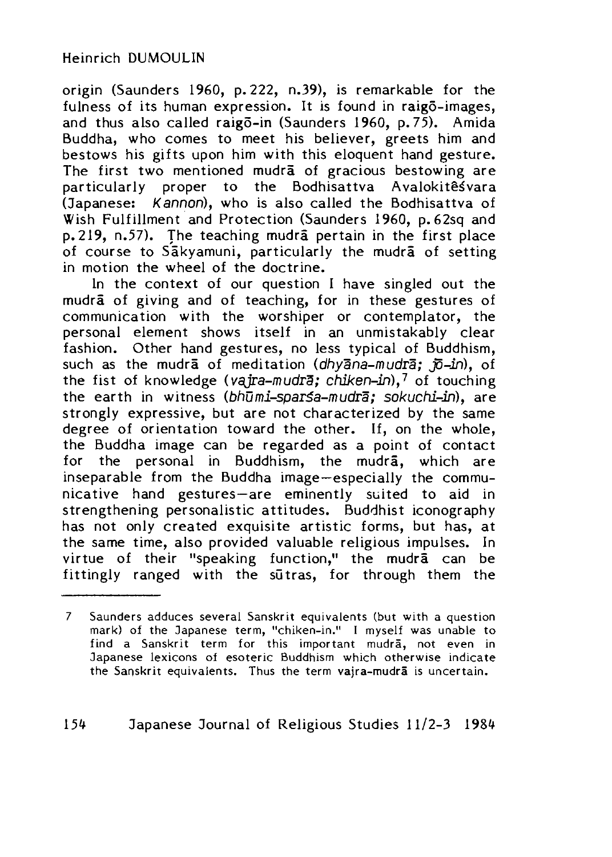origin (Saunders 1960, p. 222, n.39), is remarkable for the fulness of its human expression. It is found in raigo-images, and thus also called raigo-in (Saunders 1960, p. 75). Amida Buddha, who comes to meet his believer, greets him and bestows his gifts upon him with this eloquent hand gesture. The first two mentioned mudra of gracious bestowing are particularly proper to the Bodhisattva Avalokitesvara (Japanese: Kannon), who is also called the Bodhisattva of Wish Fulfillment and Protection (Saunders 1960, p. 62sq and p. 219, n.57). The teaching mudra pertain in the first place of course to Sakyamuni, particularly the mudra of setting in motion the wheel of the doctrine.

In the context of our question I have singled out the mudra of giving and of teaching, for in these gestures of communication with the worshiper or contemplator, the personal element shows itself in an unmistakably clear fashion. Other hand gestures, no less typical of Buddhism, such as the mudra of meditation (dhyana-mudra; jo-in), of the fist of knowledge (vaira-mudra; chiken-in),<sup>7</sup> of touching the earth in witness *(bhumi-spar\$a-mudra; sokuchi-in),* are strongly expressive, but are not characterized by the same degree of orientation toward the other. If, on the whole, the Buddha image can be regarded as a point of contact for the personal in Buddhism, the mudra, which are inseparable from the Buddha image—especially the communicative hand gestures—are eminently suited to aid in strengthening personalistic attitudes. Buddhist iconography has not only created exquisite artistic forms, but has, at the same time, also provided valuable religious impulses. In virtue of their "speaking function," the mudra can be fittingly ranged with the sutras, for through them the

<sup>7</sup> Saunders adduces several Sanskrit equivalents (but with a question mark) of the Japanese term, "chiken-in." I myself was unable to find a Sanskrit term for this important mudra, not even in Japanese lexicons of esoteric Buddhism which otherwise indicate the Sanskrit equivalents. Thus the term vajra-mudra is uncertain.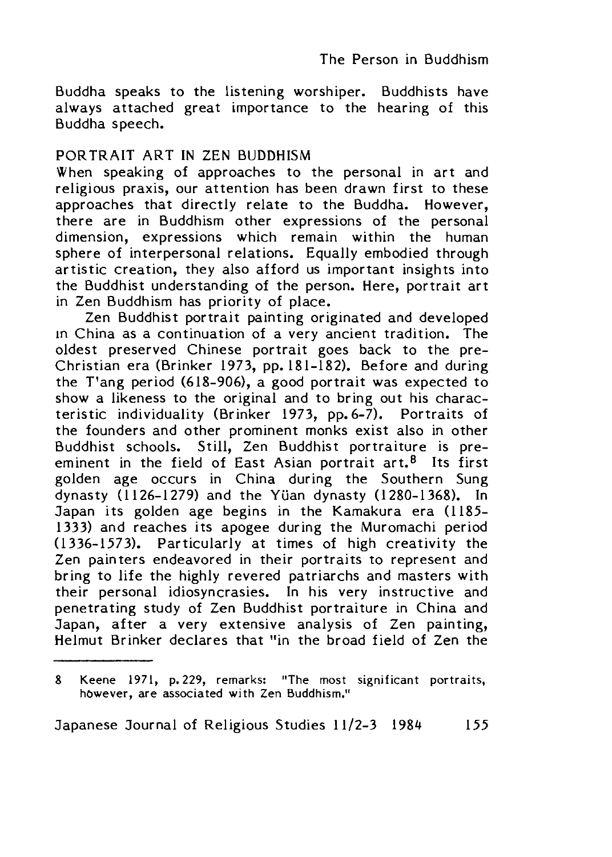Buddha speaks to the listening worshiper. Buddhists have always attached great importance to the hearing of this Buddha speech.

### PORTRAIT ART IN ZEN BUDDHISM

When speaking of approaches to the personal in art and religious praxis, our attention has been drawn first to these approaches that directly relate to the Buddha. However, there are in Buddhism other expressions of the personal dimension, expressions which remain within the human sphere of interpersonal relations. Equally embodied through artistic creation, they also afford us important insights into the Buddhist understanding of the person. Here, portrait art in Zen Buddhism has priority of place.

Zen Buddhist portrait painting originated and developed in China as a continuation of a very ancient tradition. The oldest preserved Chinese portrait goes back to the pre-Christian era (Brinker 1973, pp. 181-182〉. Before and during the T'ang period (618-906), a good portrait was expected to show a likeness to the original and to bring out his characteristic individuality (Brinker 1973, pp.  $6-\overline{7}$ ). Portraits of the founders and other prominent monks exist also in other Buddhist schools. Still, Zen Buddhist portraiture is preeminent in the field of East Asian portrait  $art<sup>8</sup>$  Its first golden age occurs in China during the Southern Sung dynasty (1126-1279) and the Yuan dynasty (1280-1368). In Japan its golden age begins in the Kamakura era (1185 1333) and reaches its apogee during the Muromachi period (1336-1573〉. Particularly at times of high creativity the Zen painters endeavored in their portraits to represent and bring to life the highly revered patriarchs and masters with their personal idiosyncrasies. In his very instructive and penetrating study of Zen Buddhist portraiture in China and Japan, after a very extensive analysis of Zen painting, Helmut Brinker declares that "in the broad field of Zen the

<sup>8</sup> Keene 1971, p. 229, remarks: "The most significant portraits, however, are associated with Zen Buddhism."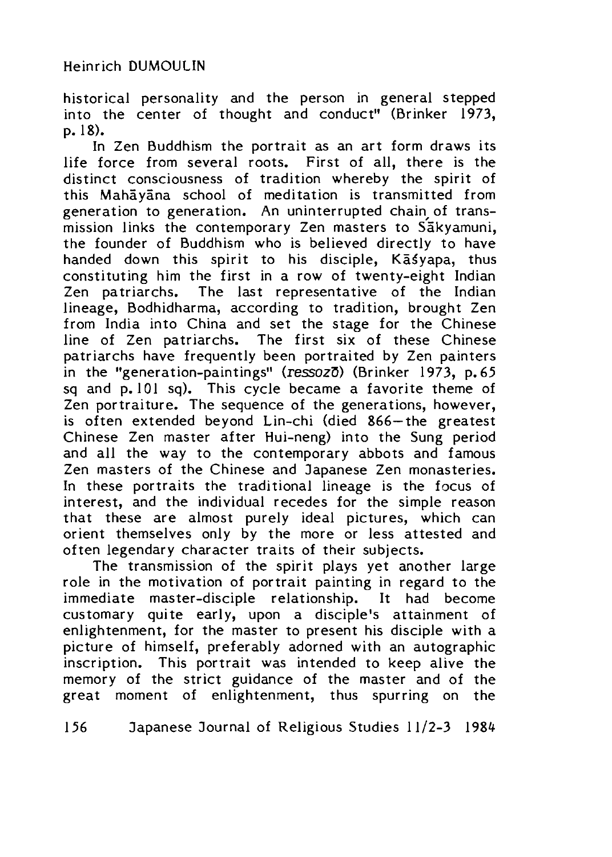historical personality and the person in general stepped into the center of thought and conduct" (Brinker 1973, p. 18).

In Zen Buddhism the portrait as an art form draws its life force from several roots. First of all, there is the distinct consciousness of tradition whereby the spirit of this Mahayana school of meditation is transmitted from generation to generation. An uninterrupted chain of transmission links the contemporary Zen masters to Sakyamuni, the founder of Buddhism who is believed directly to have handed down this spirit to his disciple, Kasyapa, thus constituting him the first in a row of twenty-eight Indian Zen patriarchs. The last representative of the Indian lineage, Bodhidharma, according to tradition, brought Zen from India into China and set the stage for the Chinese line of Zen patriarchs. The first six of these Chinese patriarchs have frequently been portraited by Zen painters in the "generation-paintings" **(ressozS)** (Brinker 1973, p. 65 sq and  $\overline{p}$ .101 sq). This cycle became a favorite theme of Zen portraiture. The sequence of the generations, however, is often extended beyond Lin-chi (died 866—the greatest Chinese Zen master after Hui-neng) into the Sung period and all the way to the contemporary abbots and famous Zen masters of the Chinese and Japanese Zen monasteries. In these portraits the traditional lineage is the focus of interest, and the individual recedes for the simple reason that these are almost purely ideal pictures, which can orient themselves only by the more or less attested and often legendary character traits of their subjects.

The transmission of the spirit plays yet another large role in the motivation of portrait painting in regard to the immediate master-disciple relationship. It had become customary quite early, upon a disciple's attainment of enlightenment, for the master to present his disciple with a picture of himself, preferably adorned with an autographic inscription. This portrait was intended to keep alive the memory of the strict guidance of the master and of the great moment of enlightenment, thus spurring on the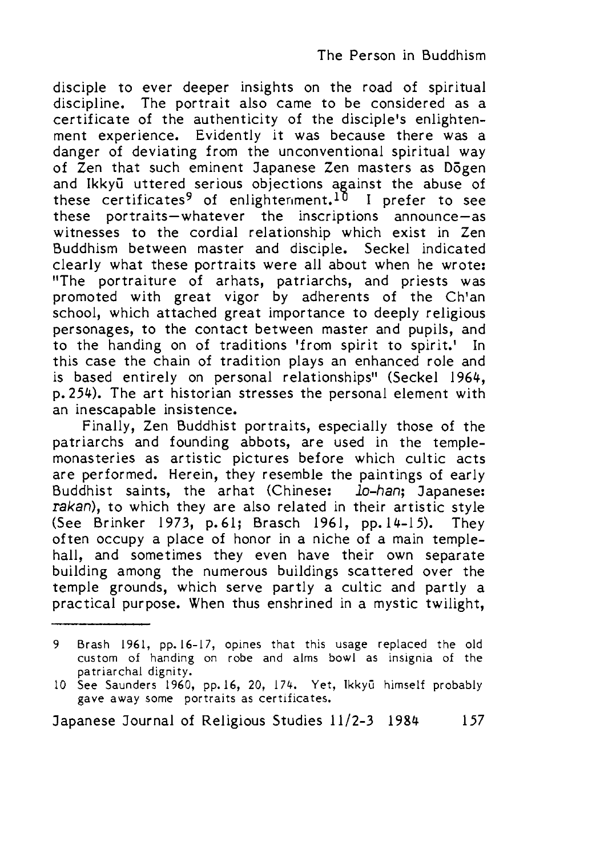disciple to ever deeper insights on the road of spiritual discipline. The portrait also came to be considered as a certificate of the authenticity of the disciple's enlightenment experience. Evidently it was because there was a danger of deviating from the unconventional spiritual way of Zen that such eminent Japanese Zen masters as D5gen and Ikkyū uttered serious objections against the abuse of these certificates<sup>9</sup> of enlightenment.<sup>10</sup> I prefer to see these portraits—whatever the inscriptions announce—as witnesses to the cordial relationship which exist in Zen Buddhism between master and disciple, Seckel indicated clearly what these portraits were all about when he wrote: "The portraiture of arhats, patriarchs, and priests was promoted with great vigor by adherents of the Ch'an school, which attached great importance to deeply religious personages, to the contact between master and pupils, and to the handing on of traditions 'from spirit to spirit.' In this case the chain of tradition plays an enhanced role and is based entirely on personal relationships" (Seckel 1964, p. 254). The art historian stresses the personal element with an inescapable insistence.

Finally, Zen Buddhist portraits, especially those of the patriarchs and founding abbots, are used in the templemonasteries as artistic pictures before which cultic acts are performed. Herein, they resemble the paintings of early Buddhist saints, the arhat (Chinese: *lo-han;* Japanese: *rakan),* to which they are also related in their artistic style (See Brinker 1973, p. 61; Brasch 1961, pp. 14-15). They often occupy a place of honor in a niche of a main templehall, and sometimes they even have their own separate building among the numerous buildings scattered over the temple grounds, which serve partly a cultic and partly a practical purpose. When thus enshrined in a mystic twilight,

<sup>9</sup> Brash 1961, pp. 16-17, opines that this usage replaced the old custom of handing on robe and alms bowl as insignia of the patriarchal dignity.

<sup>10</sup> See Saunders 1960, pp.16, 20, 174. Yet, Ikkyū himself probably gave away some portraits as certificates.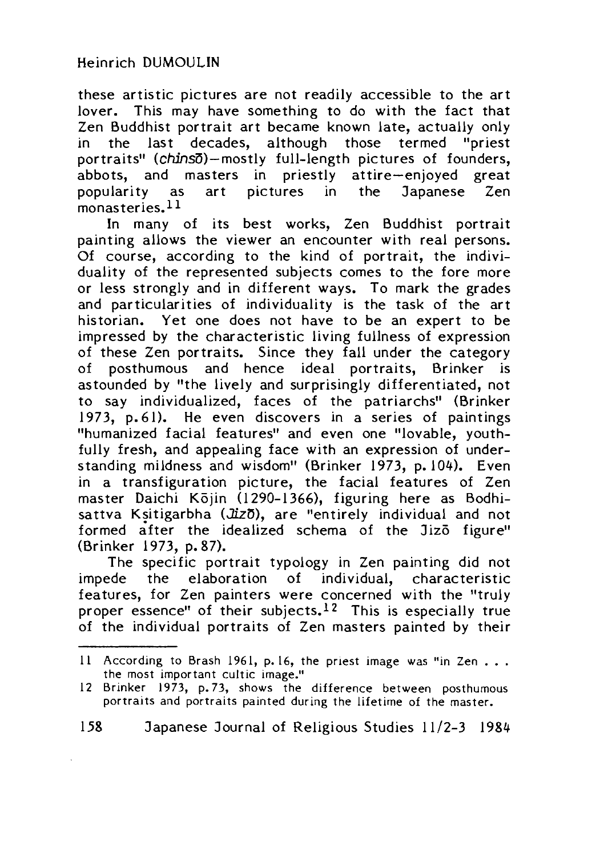these artistic pictures are not readily accessible to the art lover. This may have something to do with the fact that Zen Buddhist portrait art became known late, actually only in the last decades, although those termed "priest portraits" (chins5)—mostly full-length pictures of founders, abbots, and masters in priestly attire—enjoyed great popularity as art pictures in the Japanese Zen monasteries.<sup>11</sup>

In many of its best works, Zen Buddhist portrait painting allows the viewer an encounter with real persons. Of course, according to the kind of portrait, the individuality of the represented subjects comes to the fore more or less strongly and in different ways. To mark the grades and particularities of individuality is the task of the art historian. Yet one does not have to be an expert to be impressed by the characteristic living fullness of expression of these Zen portraits. Since they fall under the category of posthumous and hence ideal portraits, Brinker is astounded by "the lively and surprisingly differentiated, not to say individualized, faces of the patriarchs" (Brinker 1973, p. 61). He even discovers in a series of paintings "humanized facial features" and even one "lovable, youthfully fresh, and appealing face with an expression of understanding mildness and wisdom" (Brinker 1973, p. 104), Even in a transfiguration picture, the facial features of Zen master Daichi Kōjin (1290-1366), figuring here as Bodhisattva Ksitigarbha (Jizo), are "entirely individual and not formed after the idealized schema of the Jizo figure" (Brinker 1973, p. 87).

The specific portrait typology in Zen painting did not impede the elaboration of individual, characteristic features, for Zen painters were concerned with the "truly proper essence" of their subjects.<sup>12</sup> This is especially true of the individual portraits of Zen masters painted by their

<sup>11</sup> According to Brash 1961, p. 16, the priest image was "in Zen . . . the most important cultic image."

<sup>12</sup> Brinker 1973, p. 73, shows the difference between posthumous portraits and portraits painted during the lifetime of the master.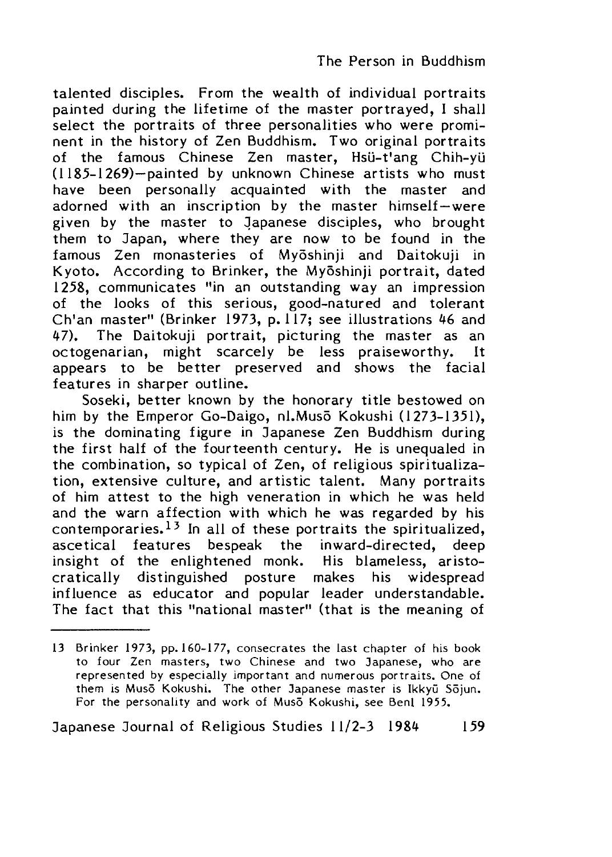talented disciples. From the wealth of individual portraits painted during the lifetime of the master portrayed, I shall select the portraits of three personalities who were prominent in the history of Zen Buddhism. Two original portraits of the famous Chinese Zen master, Hsü-t'ang Chih-yü (1185-1269)—painted by unknown Chinese artists who must have been personally acquainted with the master and adorned with an inscription by the master himself—were given by the master to Japanese disciples, who brought them to Japan, where they are now to be found in the famous Zen monasteries of Myoshinji and Daitokuji in Kyoto. According to Brinker, the Myōshinii portrait, dated 1258, communicates "in an outstanding way an impression of the looks of this serious, good-natured and tolerant Ch'an master" (Brinker 1973, p.  $117$ ; see illustrations 46 and 47). The Daitokuji portrait, picturing the master as an octogenarian, might scarcely be less praiseworthy. It appears to be better preserved and shows the facial features in sharper outline.

Soseki, better known by the honorary title bestowed on him by the Emperor Go-Daigo, nl.Musō Kokushi (1273-1351), is the dominating figure in Japanese Zen Buddhism during the first half of the fourteenth century. He is unequaled in the combination, so typical of Zen, of religious spiritualization, extensive culture, and artistic talent. Many portraits of him attest to the high veneration in which he was held and the warn affection with which he was regarded by his contemporaries.<sup>13</sup> In all of these portraits the spiritualized, ascetical features bespeak the inward-directed, deep insight of the enlightened monk. His blameless, aristocratically distinguished posture makes his widespread influence as educator and popular leader understandable. The fact that this "national master" (that is the meaning of

<sup>13</sup> Brinker 1973, pp.160-177, consecrates the last chapter of his book to four Zen masters, two Chinese and two Japanese, who are represented by especially important and numerous portraits. One of them is Musō Kokushi. The other Japanese master is Ikkyū Sōjun. For the personality and work of Muso Kokushi, see Benl 1955.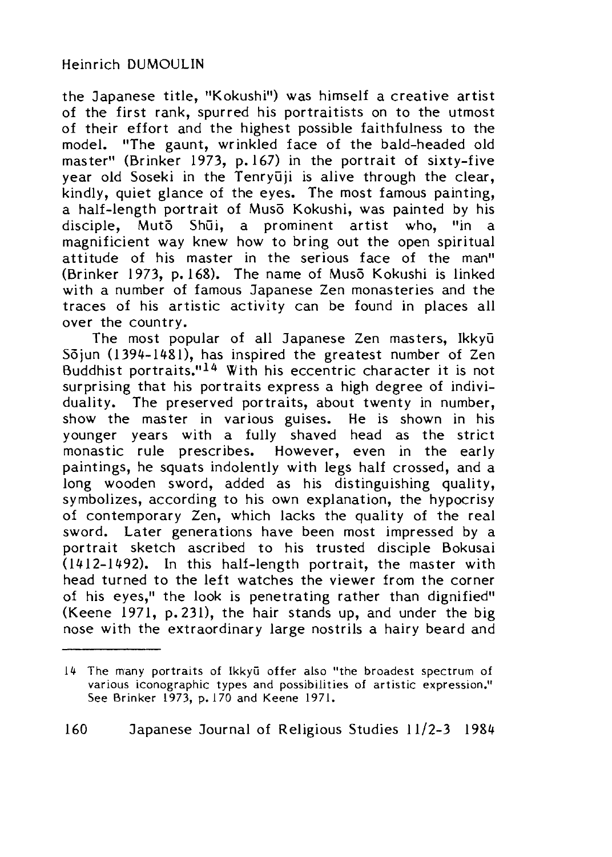the Japanese title, "Kokushi") was himself a creative artist of the first rank, spurred his portraitists on to the utmost of their effort and the highest possible faithfulness to the model. "The gaunt, wrinkled face of the bald-headed old master" (Brinker 1973, p. 167) in the portrait of sixty-five year old Soseki in the Tenryūji is alive through the clear, kindly, quiet glance of the eyes. The most famous painting, a half-length portrait of Muso Kokushi, was painted by his disciple, Muto Shūi, a prominent artist who, "in a magnificient way knew how to bring out the open spiritual attitude of his master in the serious face of the man" (Brinker 1973, p. 168). The name of Muso Kokushi is linked with a number of famous Japanese Zen monasteries and the traces of his artistic activity can be found in places all over the country.

The most popular of all Japanese Zen masters, Ikkyū Sojun (1394-1481), has inspired the greatest number of Zen Buddhist portraits."14 With his eccentric character it is not surprising that his portraits express a high degree of individuality. The preserved portraits, about twenty in number, show the master in various guises. He is shown in his younger years with a fully shaved head as the strict monastic rule prescribes. However, even in the early paintings, he squats indolently with legs half crossed, and a long wooden sword, added as his distinguishing quality, symbolizes, according to his own explanation, the hypocrisy of contemporary Zen, which lacks the quality of the real sword. Later generations have been most impressed by a portrait sketch ascribed to his trusted disciple Bokusai  $(1412-1492)$ . In this half-length portrait, the master with head turned to the left watches the viewer from the corner of his eyes," the look is penetrating rather than dignified" (Keene 1971, p. 231), the hair stands up, and under the big nose with the extraordinary large nostrils a hairy beard and

<sup>14</sup> The many portraits of Ikkyū offer also "the broadest spectrum of various iconographic types and possibilities of artistic expression." See Brinker 1973, p. 170 and Keene 1971.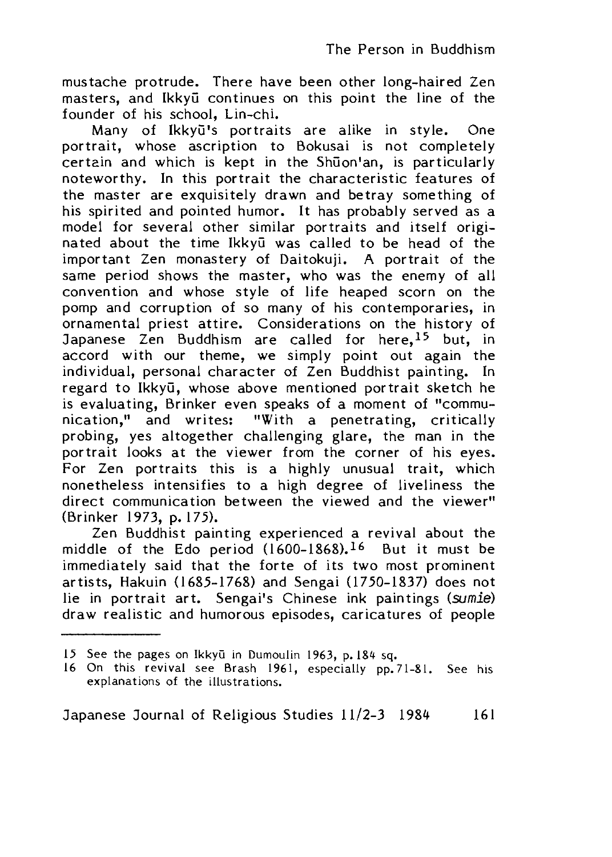mustache protrude. There have been other long-haired Zen masters, and Ikkyu continues on this point the line of the founder of his school, Lin-chi.

Many of Ikkyū's portraits are alike in style. One portrait, whose ascription to Bokusai is not completely certain and which is kept in the Shuon'an, is particularly noteworthy. In this portrait the characteristic features of the master are exquisitely drawn and betray something of his spirited and pointed humor. It has probably served as a model for several other similar portraits and itself originated about the time Ikkyū was called to be head of the important Zen monastery of Daitokuji, A portrait of the same period shows the master, who was the enemy of all convention and whose style of life heaped scorn on the pomp and corruption of so many of his contemporaries, in ornamental priest attire. Considerations on the history of Japanese Zen Buddhism are called for here, <sup>15</sup> but, in accord with our theme, we simply point out again the individual, personal character of Zen Buddhist painting. In regard to Ikkyu, whose above mentioned portrait sketch he is evaluating, Brinker even speaks of a moment of "communication," and writes: "With a penetrating, critically probing, yes altogether challenging glare, the man in the portrait looks at the viewer from the corner of his eyes. For Zen portraits this is a highly unusual trait, which nonetheless intensifies to a high degree of liveliness the direct communication between the viewed and the viewer" (Brinker 1973, p. 175).

Zen Buddhist painting experienced a revival about the middle of the Edo period  $(1600-1868)$ , <sup>16</sup> But it must be immediately said that the forte of its two most prominent artists, Hakuin (1685-1768) and Sengai (1750-1837) does not lie in portrait art, Sengai's Chinese ink paintings (sumie) draw realistic and humorous episodes, caricatures of people

<sup>15</sup> See the pages on Ikkyū in Dumoulin 1963, p. 184 sq.

<sup>16</sup> On this revival see Brash 1961, especially pp. 71-81. See his explanations of the illustrations.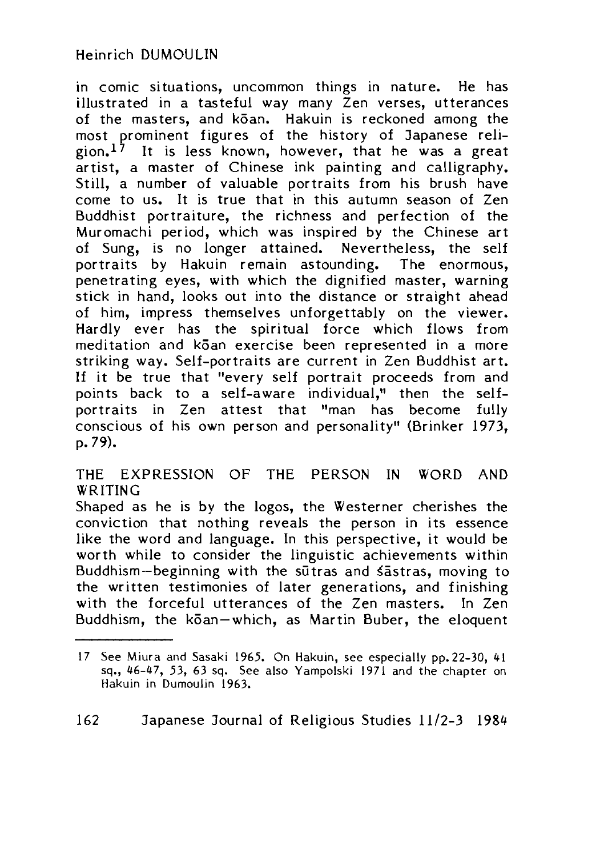in comic situations, uncommon things in nature. He has illustrated in a tasteful way many Zen verses, utterances of the masters, and koan. Hakuin is reckoned among the most prominent figures of the history of Japanese religion.<sup>17</sup> It is less known, however, that he was a great artist, a master of Chinese ink painting and calligraphy. Still, a number of valuable portraits from his brush have come to us. It is true that in this autumn season of Zen Buddhist portraiture, the richness and perfection of the Muromachi period, which was inspired by the Chinese art of Sung, is no longer attained. Nevertheless, the self portraits by Hakuin remain astounding. The enormous, penetrating eyes, with which the dignified master, warning stick in hand, looks out into the distance or straight ahead of him, impress themselves unforgettably on the viewer. Hardly ever has the spiritual force which flows from meditation and k5an exercise been represented in a more striking way. Self-portraits are current in Zen Buddhist art. If it be true that "every self portrait proceeds from and points back to a self-aware individual," then the selfportraits in Zen attest that "man has become fully conscious of his own person and personality" (Brinker 1973, p. 79).

### THE EXPRESSION OF THE PERSON IN WORD AND WRITING

Shaped as he is by the logos, the Westerner cherishes the conviction that nothing reveals the person in its essence like the word and language. In this perspective, it would be worth while to consider the linguistic achievements within Buddhism-beginning with the sutras and sastras, moving to the written testimonies of later generations, and finishing with the forceful utterances of the Zen masters. In Zen Buddhism, the koan-which, as Martin Buber, the eloquent

<sup>17</sup> See Miura and Sasaki 1965. On Hakuin, see especially pp. 22-30, 41 sq.,  $46-47$ , 53, 63 sq. See also Yampolski 1971 and the chapter on Hakuin in Dumoulin 1963.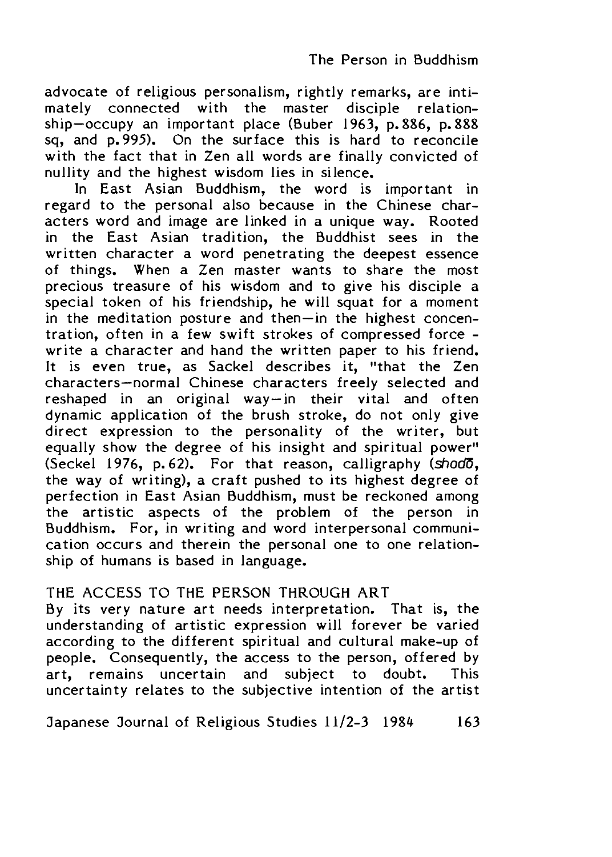advocate of religious personalism, rightly remarks, are intimately connected with the master disciple relationship—occupy an important place (Buber 1963, p. 886, p. 888 sq, and p. 995). On the surface this is hard to reconcile with the fact that in Zen all words are finally convicted of nullity and the highest wisdom lies in silence.

In East Asian Buddhism, the word is important in regard to the personal also because in the Chinese characters word and image are linked in a unique way. Rooted in the East Asian tradition, the Buddhist sees in the written character a word penetrating the deepest essence of things. When a Zen master wants to share the most precious treasure of his wisdom and to give his disciple a special token of his friendship, he will squat for a moment in the meditation posture and then—in the highest concentration, often in a few swift strokes of compressed force write a character and hand the written paper to his friend. It is even true, as Sackel describes it, "that the Zen characters—normal Chinese characters freely selected and reshaped in an original way—in their vital and often dynamic application of the brush stroke, do not only give direct expression to the personality of the writer, but equally show the degree of his insight and spiritual power" (Seckel 1976, p. 62). For that reason, calligraphy *(shodS* the way of writing), a craft pushed to its highest degree of perfection in East Asian Buddhism, must be reckoned among the artistic aspects of the problem of the person in Buddhism. For, in writing and word interpersonal communication occurs and therein the personal one to one relationship of humans is based in language.

### THE ACCESS TO THE PERSON THROUGH ART

By its very nature art needs interpretation. That is, the understanding of artistic expression will forever be varied according to the different spiritual and cultural make-up of people. Consequently, the access to the person, offered by art, remains uncertain and subject to doubt. This uncertainty relates to the subjective intention of the artist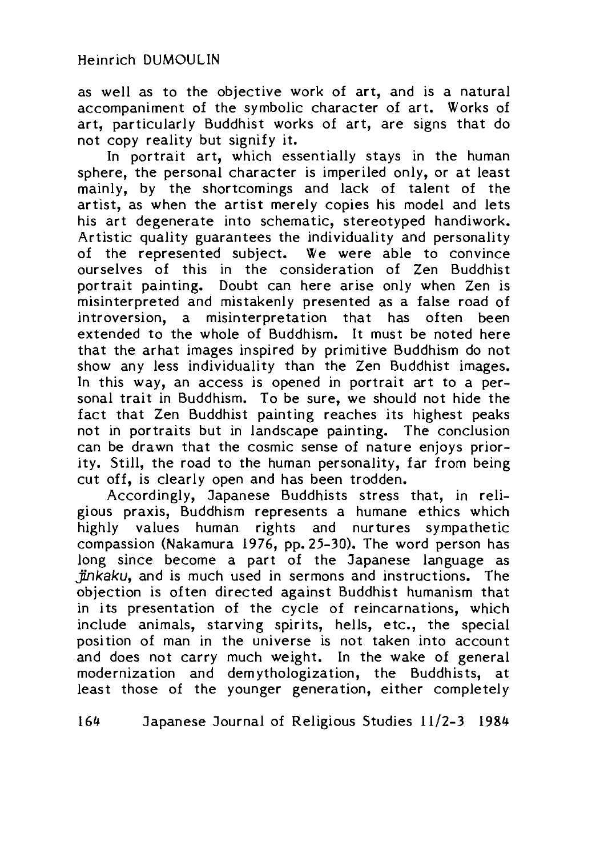as well as to the objective work of art, and is a natural accompaniment of the symbolic character of art. Works of art, particularly Buddhist works of art, are signs that do not copy reality but signify it.

In portrait art, which essentially stays in the human sphere, the personal character is imperiled only, or at least mainly, by the shortcomings and lack of talent of the artist, as when the artist merely copies his model and lets his art degenerate into schematic, stereotyped handiwork. Artistic quality guarantees the individuality and personality of the represented subject. We were able to convince ourselves of this in the consideration of Zen Buddhist portrait painting. Doubt can here arise only when Zen is misinterpreted and mistakenly presented as a false road of introversion, a misinterpretation that has often been extended to the whole of Buddhism. It must be noted here that the arhat images inspired by primitive Buddhism do not show any less individuality than the Zen Buddhist images. In this way, an access is opened in portrait art to a personal trait in Buddhism. To be sure, we should not hide the fact that Zen Buddhist painting reaches its highest peaks not in portraits but in landscape painting. The conclusion can be drawn that the cosmic sense of nature enjoys priority. Still, the road to the human personality, far from being cut off, is clearly open and has been trodden.

Accordingly, Japanese Buddhists stress that, in religious praxis, Buddhism represents a humane ethics which highly values human rights and nurtures sympathetic compassion (Nakamura 1976, pp. 25-30). The word person has long since become a part of the Japanese language as *Jinkaku*,and is much used in sermons and instructions. The objection is often directed against Buddhist humanism that in its presentation of the cycle of reincarnations, which include animals, starving spirits, hells, etc., the special position of man in the universe is not taken into account and does not carry much weight. In the wake of general modernization and demythologization, the Buddhists, at least those of the younger generation, either completely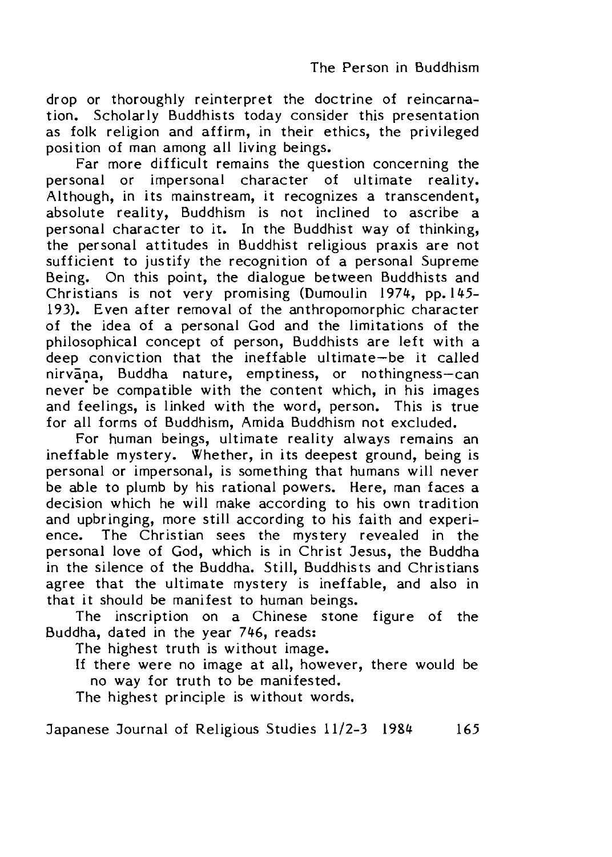drop or thoroughly reinterpret the doctrine of reincarnation. Scholarly Buddhists today consider this presentation as folk religion and affirm, in their ethics, the privileged position of man among all living beings.

Far more difficult remains the question concerning the personal or impersonal character of ultimate reality. .<br>Although, in its mainstream, it recognizes a transcendent, absolute reality. Buddhism is not inclined to ascribe a personal character to it. In the Buddhist way of thinking, the personal attitudes in Buddhist religious praxis are not sufficient to justify the recognition of a personal Supreme Being. On this point, the dialogue between Buddhists and Christians is not very promising (Dumoulin 1974, pp. 145-193). Even after removal of the anthropomorphic character of the idea of a personal God and the limitations of the philosophical concept of person, Buddhists are left with a deep conviction that the ineffable ultimate—be it called nirvana, Buddha nature, emptiness, or nothingness—can never be compatible with the content which, in his images and feelings, is linked with the word, person. This is true for all forms of Buddhism, Amida Buddhism not excluded.

For human beings, ultimate reality always remains an ineffable mystery. Whether, in its deepest ground, being is personal or impersonal, is something that humans will never be able to plumb by his rational powers. Here, man faces a decision which he will make according to his own tradition and upbringing, more still according to his faith and experience. The Christian sees the mystery revealed in the personal love of God, which is in Christ Jesus, the Buddha in the silence of the Buddha, Still, Buddhists and Christians agree that the ultimate mystery is ineffable, and also in that it should be manifest to human beings.

The inscription on a Chinese stone figure of the Buddha, dated in the year  $746$ , reads:

The highest truth is without image.

If there were no image at all, however, there would be no way for truth to be manifested.

The highest principle is without words.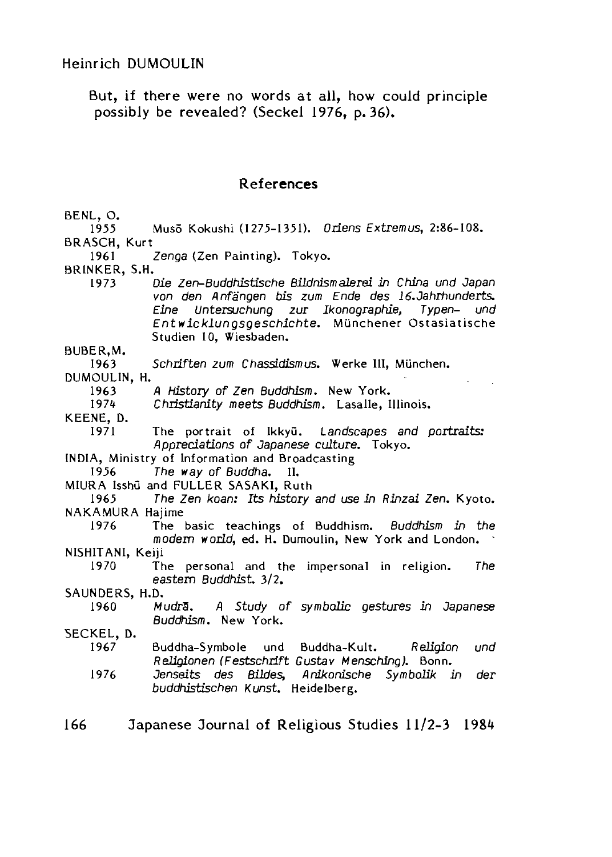Heinrich DUMOULIN

But, if there were no words at all, how could principle possibly be revealed? (Seckel 1976, p. 36).

#### References

BENL, O. 1955 Muso Kokushi (1275-1351〉. *Oriens Extremus,* 2:86-108. BRASCH, Kurt 1961 BRINKER, S.H. 1973 *Zenga* (Zen Painting). Tokyo. BUBER.M. 1963 DUMOULIN, H. 1963 197な KEENE, D. 1971 *Die Zen-Buddhistische Bildnism alerei in China und Japan von den Anfangen bis zum Ende des 16.Jahrhunderts. Eine Untersuchung zur Ikonographie, Typen- und Entwicklungsgeschichte,* Munchener Ostasiatische Studien 10, Wiesbaden. Schriften zum Chassidismus. Werke III, München. A History of Zen Buddhism. New York. *Christianity meets Buddhism*. Lasalle, Illinois. The portrait of Ikkyu. *Landscapes and portraits:* Appreciations of Japanese culture. Tokyo. INDIA, Ministry of Information and Broadcasting 1956 The way of Buddha. II. MIURA Isshu and FULLER SASAKI, Ruth 1965 *The Zen koan: Its history and use in Rinzai Zen.* Kyoto. NAKAMURA Hajime 1976 The basic teachings of Buddhism. *Buddhism in the* modern world, ed. H. Dumoulin, New York and London. NISHITANI, Keiji 1970 SAUNDERS, H.D. 1960 SECKEL, D. 1967 1976 The personal and the impersonal in religion. *The* eastem Buddhist, 3/2. Mudra. A Study of symbolic gestures in Japanese *Buddhism.* New York. Buddha-Symbole und Buddha-Kult. *Religion und ReUgionen (Festschrift Gustav Mensching).* Bonn. Jenseits des Bildes, Anikonische Symbolik in der *buddhistischen Kunst.* Heidelberg. 166 Japanese Journal of Religious Studies 11/2-3 1984